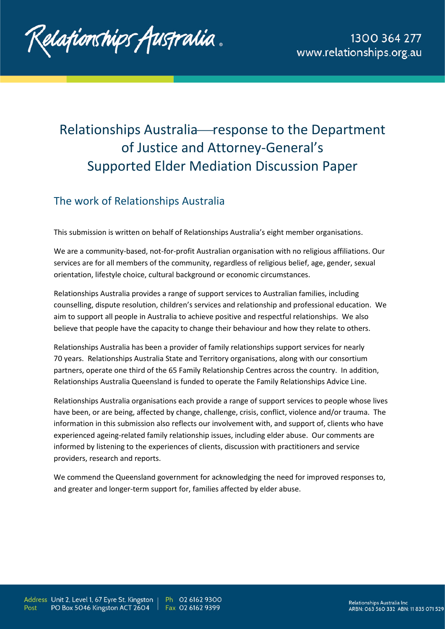

# Relationships Australia-response to the Department of Justice and Attorney-General's Supported Elder Mediation Discussion Paper

# The work of Relationships Australia

This submission is written on behalf of Relationships Australia's eight member organisations.

We are a community-based, not-for-profit Australian organisation with no religious affiliations. Our services are for all members of the community, regardless of religious belief, age, gender, sexual orientation, lifestyle choice, cultural background or economic circumstances.

Relationships Australia provides a range of support services to Australian families, including counselling, dispute resolution, children's services and relationship and professional education. We aim to support all people in Australia to achieve positive and respectful relationships. We also believe that people have the capacity to change their behaviour and how they relate to others.

Relationships Australia has been a provider of family relationships support services for nearly 70 years. Relationships Australia State and Territory organisations, along with our consortium partners, operate one third of the 65 Family Relationship Centres across the country. In addition, Relationships Australia Queensland is funded to operate the Family Relationships Advice Line.

Relationships Australia organisations each provide a range of support services to people whose lives have been, or are being, affected by change, challenge, crisis, conflict, violence and/or trauma. The information in this submission also reflects our involvement with, and support of, clients who have experienced ageing-related family relationship issues, including elder abuse. Our comments are informed by listening to the experiences of clients, discussion with practitioners and service providers, research and reports.

We commend the Queensland government for acknowledging the need for improved responses to, and greater and longer-term support for, families affected by elder abuse.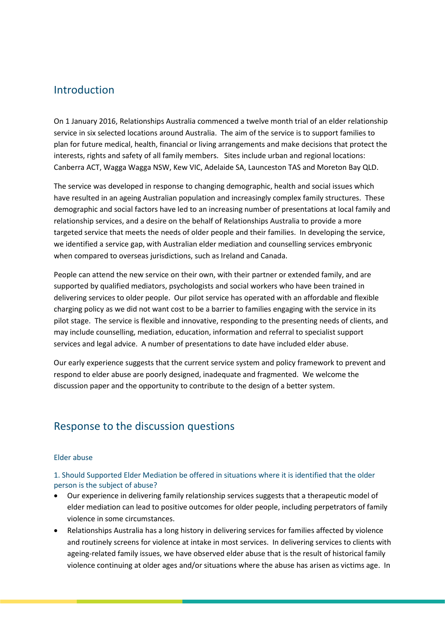### Introduction

On 1 January 2016, Relationships Australia commenced a twelve month trial of an elder relationship service in six selected locations around Australia. The aim of the service is to support families to plan for future medical, health, financial or living arrangements and make decisions that protect the interests, rights and safety of all family members. Sites include urban and regional locations: Canberra ACT, Wagga Wagga NSW, Kew VIC, Adelaide SA, Launceston TAS and Moreton Bay QLD.

The service was developed in response to changing demographic, health and social issues which have resulted in an ageing Australian population and increasingly complex family structures. These demographic and social factors have led to an increasing number of presentations at local family and relationship services, and a desire on the behalf of Relationships Australia to provide a more targeted service that meets the needs of older people and their families. In developing the service, we identified a service gap, with Australian elder mediation and counselling services embryonic when compared to overseas jurisdictions, such as Ireland and Canada.

People can attend the new service on their own, with their partner or extended family, and are supported by qualified mediators, psychologists and social workers who have been trained in delivering services to older people. Our pilot service has operated with an affordable and flexible charging policy as we did not want cost to be a barrier to families engaging with the service in its pilot stage. The service is flexible and innovative, responding to the presenting needs of clients, and may include counselling, mediation, education, information and referral to specialist support services and legal advice. A number of presentations to date have included elder abuse.

Our early experience suggests that the current service system and policy framework to prevent and respond to elder abuse are poorly designed, inadequate and fragmented. We welcome the discussion paper and the opportunity to contribute to the design of a better system.

### Response to the discussion questions

#### Elder abuse

1. Should Supported Elder Mediation be offered in situations where it is identified that the older person is the subject of abuse?

- Our experience in delivering family relationship services suggests that a therapeutic model of elder mediation can lead to positive outcomes for older people, including perpetrators of family violence in some circumstances.
- Relationships Australia has a long history in delivering services for families affected by violence and routinely screens for violence at intake in most services. In delivering services to clients with ageing-related family issues, we have observed elder abuse that is the result of historical family violence continuing at older ages and/or situations where the abuse has arisen as victims age. In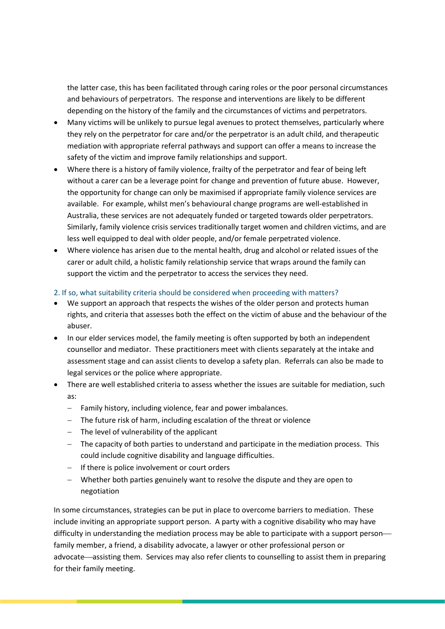the latter case, this has been facilitated through caring roles or the poor personal circumstances and behaviours of perpetrators. The response and interventions are likely to be different depending on the history of the family and the circumstances of victims and perpetrators.

- Many victims will be unlikely to pursue legal avenues to protect themselves, particularly where they rely on the perpetrator for care and/or the perpetrator is an adult child, and therapeutic mediation with appropriate referral pathways and support can offer a means to increase the safety of the victim and improve family relationships and support.
- Where there is a history of family violence, frailty of the perpetrator and fear of being left without a carer can be a leverage point for change and prevention of future abuse. However, the opportunity for change can only be maximised if appropriate family violence services are available. For example, whilst men's behavioural change programs are well-established in Australia, these services are not adequately funded or targeted towards older perpetrators. Similarly, family violence crisis services traditionally target women and children victims, and are less well equipped to deal with older people, and/or female perpetrated violence.
- Where violence has arisen due to the mental health, drug and alcohol or related issues of the carer or adult child, a holistic family relationship service that wraps around the family can support the victim and the perpetrator to access the services they need.

#### 2. If so, what suitability criteria should be considered when proceeding with matters?

- We support an approach that respects the wishes of the older person and protects human rights, and criteria that assesses both the effect on the victim of abuse and the behaviour of the abuser.
- In our elder services model, the family meeting is often supported by both an independent counsellor and mediator. These practitioners meet with clients separately at the intake and assessment stage and can assist clients to develop a safety plan. Referrals can also be made to legal services or the police where appropriate.
- There are well established criteria to assess whether the issues are suitable for mediation, such as:
	- − Family history, including violence, fear and power imbalances.
	- − The future risk of harm, including escalation of the threat or violence
	- − The level of vulnerability of the applicant
	- − The capacity of both parties to understand and participate in the mediation process. This could include cognitive disability and language difficulties.
	- − If there is police involvement or court orders
	- − Whether both parties genuinely want to resolve the dispute and they are open to negotiation

In some circumstances, strategies can be put in place to overcome barriers to mediation. These include inviting an appropriate support person. A party with a cognitive disability who may have difficulty in understanding the mediation process may be able to participate with a support personfamily member, a friend, a disability advocate, a lawyer or other professional person or advocate—assisting them. Services may also refer clients to counselling to assist them in preparing for their family meeting.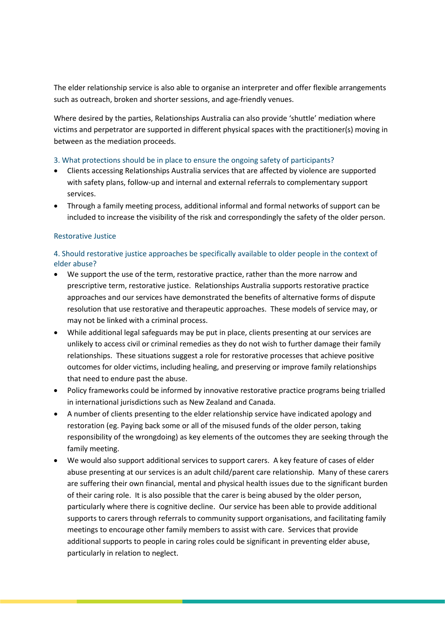The elder relationship service is also able to organise an interpreter and offer flexible arrangements such as outreach, broken and shorter sessions, and age-friendly venues.

Where desired by the parties, Relationships Australia can also provide 'shuttle' mediation where victims and perpetrator are supported in different physical spaces with the practitioner(s) moving in between as the mediation proceeds.

#### 3. What protections should be in place to ensure the ongoing safety of participants?

- Clients accessing Relationships Australia services that are affected by violence are supported with safety plans, follow-up and internal and external referrals to complementary support services.
- Through a family meeting process, additional informal and formal networks of support can be included to increase the visibility of the risk and correspondingly the safety of the older person.

#### Restorative Justice

#### 4. Should restorative justice approaches be specifically available to older people in the context of elder abuse?

- We support the use of the term, restorative practice, rather than the more narrow and prescriptive term, restorative justice. Relationships Australia supports restorative practice approaches and our services have demonstrated the benefits of alternative forms of dispute resolution that use restorative and therapeutic approaches. These models of service may, or may not be linked with a criminal process.
- While additional legal safeguards may be put in place, clients presenting at our services are unlikely to access civil or criminal remedies as they do not wish to further damage their family relationships. These situations suggest a role for restorative processes that achieve positive outcomes for older victims, including healing, and preserving or improve family relationships that need to endure past the abuse.
- Policy frameworks could be informed by innovative restorative practice programs being trialled in international jurisdictions such as New Zealand and Canada.
- A number of clients presenting to the elder relationship service have indicated apology and restoration (eg. Paying back some or all of the misused funds of the older person, taking responsibility of the wrongdoing) as key elements of the outcomes they are seeking through the family meeting.
- We would also support additional services to support carers. A key feature of cases of elder abuse presenting at our services is an adult child/parent care relationship. Many of these carers are suffering their own financial, mental and physical health issues due to the significant burden of their caring role. It is also possible that the carer is being abused by the older person, particularly where there is cognitive decline. Our service has been able to provide additional supports to carers through referrals to community support organisations, and facilitating family meetings to encourage other family members to assist with care. Services that provide additional supports to people in caring roles could be significant in preventing elder abuse, particularly in relation to neglect.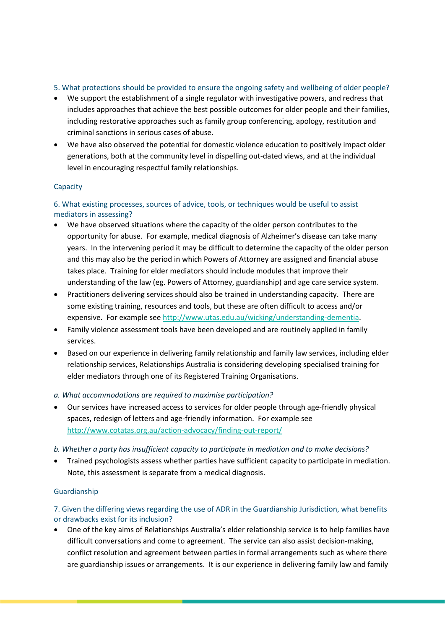#### 5. What protections should be provided to ensure the ongoing safety and wellbeing of older people?

- We support the establishment of a single regulator with investigative powers, and redress that includes approaches that achieve the best possible outcomes for older people and their families, including restorative approaches such as family group conferencing, apology, restitution and criminal sanctions in serious cases of abuse.
- We have also observed the potential for domestic violence education to positively impact older generations, both at the community level in dispelling out-dated views, and at the individual level in encouraging respectful family relationships.

#### **Capacity**

#### 6. What existing processes, sources of advice, tools, or techniques would be useful to assist mediators in assessing?

- We have observed situations where the capacity of the older person contributes to the opportunity for abuse. For example, medical diagnosis of Alzheimer's disease can take many years. In the intervening period it may be difficult to determine the capacity of the older person and this may also be the period in which Powers of Attorney are assigned and financial abuse takes place. Training for elder mediators should include modules that improve their understanding of the law (eg. Powers of Attorney, guardianship) and age care service system.
- Practitioners delivering services should also be trained in understanding capacity. There are some existing training, resources and tools, but these are often difficult to access and/or expensive. For example see [http://www.utas.edu.au/wicking/understanding-dementia.](http://www.utas.edu.au/wicking/understanding-dementia)
- Family violence assessment tools have been developed and are routinely applied in family services.
- Based on our experience in delivering family relationship and family law services, including elder relationship services, Relationships Australia is considering developing specialised training for elder mediators through one of its Registered Training Organisations.

#### *a. What accommodations are required to maximise participation?*

• Our services have increased access to services for older people through age-friendly physical spaces, redesign of letters and age-friendly information. For example see <http://www.cotatas.org.au/action-advocacy/finding-out-report/>

#### *b. Whether a party has insufficient capacity to participate in mediation and to make decisions?*

• Trained psychologists assess whether parties have sufficient capacity to participate in mediation. Note, this assessment is separate from a medical diagnosis.

#### Guardianship

#### 7. Given the differing views regarding the use of ADR in the Guardianship Jurisdiction, what benefits or drawbacks exist for its inclusion?

• One of the key aims of Relationships Australia's elder relationship service is to help families have difficult conversations and come to agreement. The service can also assist decision-making, conflict resolution and agreement between parties in formal arrangements such as where there are guardianship issues or arrangements. It is our experience in delivering family law and family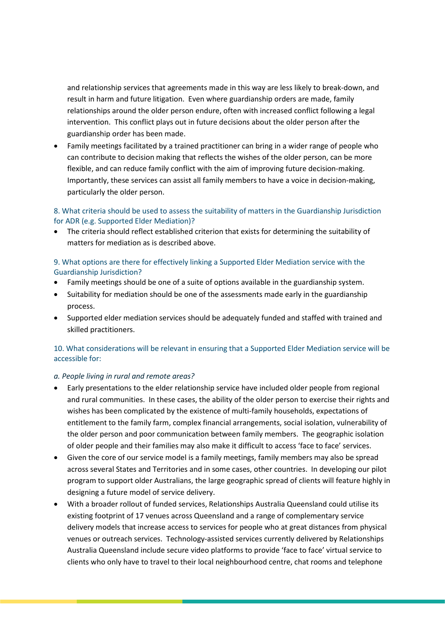and relationship services that agreements made in this way are less likely to break-down, and result in harm and future litigation. Even where guardianship orders are made, family relationships around the older person endure, often with increased conflict following a legal intervention. This conflict plays out in future decisions about the older person after the guardianship order has been made.

• Family meetings facilitated by a trained practitioner can bring in a wider range of people who can contribute to decision making that reflects the wishes of the older person, can be more flexible, and can reduce family conflict with the aim of improving future decision-making. Importantly, these services can assist all family members to have a voice in decision-making, particularly the older person.

#### 8. What criteria should be used to assess the suitability of matters in the Guardianship Jurisdiction for ADR (e.g. Supported Elder Mediation)?

• The criteria should reflect established criterion that exists for determining the suitability of matters for mediation as is described above.

#### 9. What options are there for effectively linking a Supported Elder Mediation service with the Guardianship Jurisdiction?

- Family meetings should be one of a suite of options available in the guardianship system.
- Suitability for mediation should be one of the assessments made early in the guardianship process.
- Supported elder mediation services should be adequately funded and staffed with trained and skilled practitioners.

#### 10. What considerations will be relevant in ensuring that a Supported Elder Mediation service will be accessible for:

#### *a. People living in rural and remote areas?*

- Early presentations to the elder relationship service have included older people from regional and rural communities. In these cases, the ability of the older person to exercise their rights and wishes has been complicated by the existence of multi-family households, expectations of entitlement to the family farm, complex financial arrangements, social isolation, vulnerability of the older person and poor communication between family members. The geographic isolation of older people and their families may also make it difficult to access 'face to face' services.
- Given the core of our service model is a family meetings, family members may also be spread across several States and Territories and in some cases, other countries. In developing our pilot program to support older Australians, the large geographic spread of clients will feature highly in designing a future model of service delivery.
- With a broader rollout of funded services, Relationships Australia Queensland could utilise its existing footprint of 17 venues across Queensland and a range of complementary service delivery models that increase access to services for people who at great distances from physical venues or outreach services. Technology-assisted services currently delivered by Relationships Australia Queensland include secure video platforms to provide 'face to face' virtual service to clients who only have to travel to their local neighbourhood centre, chat rooms and telephone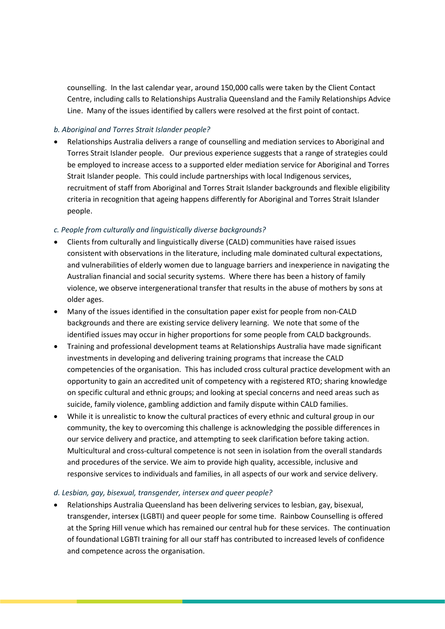counselling. In the last calendar year, around 150,000 calls were taken by the Client Contact Centre, including calls to Relationships Australia Queensland and the Family Relationships Advice Line. Many of the issues identified by callers were resolved at the first point of contact.

#### *b. Aboriginal and Torres Strait Islander people?*

• Relationships Australia delivers a range of counselling and mediation services to Aboriginal and Torres Strait Islander people. Our previous experience suggests that a range of strategies could be employed to increase access to a supported elder mediation service for Aboriginal and Torres Strait Islander people. This could include partnerships with local Indigenous services, recruitment of staff from Aboriginal and Torres Strait Islander backgrounds and flexible eligibility criteria in recognition that ageing happens differently for Aboriginal and Torres Strait Islander people.

#### *c. People from culturally and linguistically diverse backgrounds?*

- Clients from culturally and linguistically diverse (CALD) communities have raised issues consistent with observations in the literature, including male dominated cultural expectations, and vulnerabilities of elderly women due to language barriers and inexperience in navigating the Australian financial and social security systems. Where there has been a history of family violence, we observe intergenerational transfer that results in the abuse of mothers by sons at older ages.
- Many of the issues identified in the consultation paper exist for people from non-CALD backgrounds and there are existing service delivery learning. We note that some of the identified issues may occur in higher proportions for some people from CALD backgrounds.
- Training and professional development teams at Relationships Australia have made significant investments in developing and delivering training programs that increase the CALD competencies of the organisation. This has included cross cultural practice development with an opportunity to gain an accredited unit of competency with a registered RTO; sharing knowledge on specific cultural and ethnic groups; and looking at special concerns and need areas such as suicide, family violence, gambling addiction and family dispute within CALD families.
- While it is unrealistic to know the cultural practices of every ethnic and cultural group in our community, the key to overcoming this challenge is acknowledging the possible differences in our service delivery and practice, and attempting to seek clarification before taking action. Multicultural and cross-cultural competence is not seen in isolation from the overall standards and procedures of the service. We aim to provide high quality, accessible, inclusive and responsive services to individuals and families, in all aspects of our work and service delivery.

#### *d. Lesbian, gay, bisexual, transgender, intersex and queer people?*

• Relationships Australia Queensland has been delivering services to lesbian, gay, bisexual, transgender, intersex (LGBTI) and queer people for some time. Rainbow Counselling is offered at the Spring Hill venue which has remained our central hub for these services. The continuation of foundational LGBTI training for all our staff has contributed to increased levels of confidence and competence across the organisation.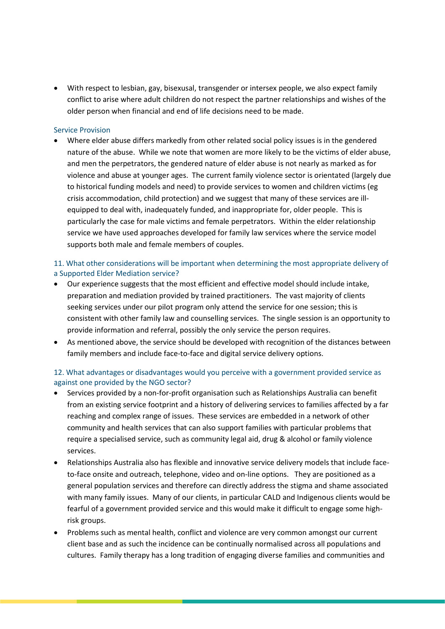• With respect to lesbian, gay, bisexusal, transgender or intersex people, we also expect family conflict to arise where adult children do not respect the partner relationships and wishes of the older person when financial and end of life decisions need to be made.

#### Service Provision

• Where elder abuse differs markedly from other related social policy issues is in the gendered nature of the abuse. While we note that women are more likely to be the victims of elder abuse, and men the perpetrators, the gendered nature of elder abuse is not nearly as marked as for violence and abuse at younger ages. The current family violence sector is orientated (largely due to historical funding models and need) to provide services to women and children victims (eg crisis accommodation, child protection) and we suggest that many of these services are illequipped to deal with, inadequately funded, and inappropriate for, older people. This is particularly the case for male victims and female perpetrators. Within the elder relationship service we have used approaches developed for family law services where the service model supports both male and female members of couples.

#### 11. What other considerations will be important when determining the most appropriate delivery of a Supported Elder Mediation service?

- Our experience suggests that the most efficient and effective model should include intake, preparation and mediation provided by trained practitioners. The vast majority of clients seeking services under our pilot program only attend the service for one session; this is consistent with other family law and counselling services. The single session is an opportunity to provide information and referral, possibly the only service the person requires.
- As mentioned above, the service should be developed with recognition of the distances between family members and include face-to-face and digital service delivery options.

#### 12. What advantages or disadvantages would you perceive with a government provided service as against one provided by the NGO sector?

- Services provided by a non-for-profit organisation such as Relationships Australia can benefit from an existing service footprint and a history of delivering services to families affected by a far reaching and complex range of issues. These services are embedded in a network of other community and health services that can also support families with particular problems that require a specialised service, such as community legal aid, drug & alcohol or family violence services.
- Relationships Australia also has flexible and innovative service delivery models that include faceto-face onsite and outreach, telephone, video and on-line options. They are positioned as a general population services and therefore can directly address the stigma and shame associated with many family issues. Many of our clients, in particular CALD and Indigenous clients would be fearful of a government provided service and this would make it difficult to engage some highrisk groups.
- Problems such as mental health, conflict and violence are very common amongst our current client base and as such the incidence can be continually normalised across all populations and cultures. Family therapy has a long tradition of engaging diverse families and communities and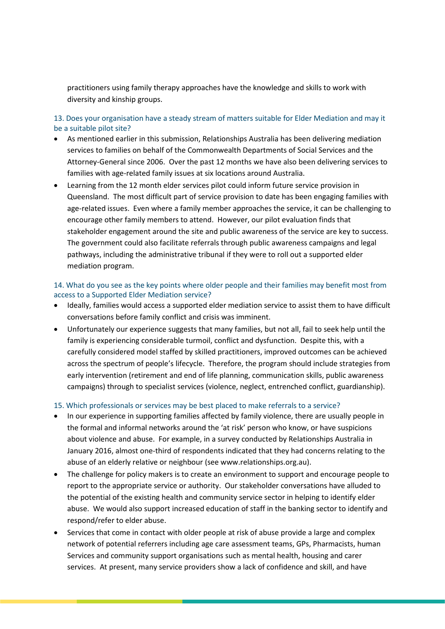practitioners using family therapy approaches have the knowledge and skills to work with diversity and kinship groups.

13. Does your organisation have a steady stream of matters suitable for Elder Mediation and may it be a suitable pilot site?

- As mentioned earlier in this submission, Relationships Australia has been delivering mediation services to families on behalf of the Commonwealth Departments of Social Services and the Attorney-General since 2006. Over the past 12 months we have also been delivering services to families with age-related family issues at six locations around Australia.
- Learning from the 12 month elder services pilot could inform future service provision in Queensland. The most difficult part of service provision to date has been engaging families with age-related issues. Even where a family member approaches the service, it can be challenging to encourage other family members to attend. However, our pilot evaluation finds that stakeholder engagement around the site and public awareness of the service are key to success. The government could also facilitate referrals through public awareness campaigns and legal pathways, including the administrative tribunal if they were to roll out a supported elder mediation program.

#### 14. What do you see as the key points where older people and their families may benefit most from access to a Supported Elder Mediation service?

- Ideally, families would access a supported elder mediation service to assist them to have difficult conversations before family conflict and crisis was imminent.
- Unfortunately our experience suggests that many families, but not all, fail to seek help until the family is experiencing considerable turmoil, conflict and dysfunction. Despite this, with a carefully considered model staffed by skilled practitioners, improved outcomes can be achieved across the spectrum of people's lifecycle. Therefore, the program should include strategies from early intervention (retirement and end of life planning, communication skills, public awareness campaigns) through to specialist services (violence, neglect, entrenched conflict, guardianship).

#### 15. Which professionals or services may be best placed to make referrals to a service?

- In our experience in supporting families affected by family violence, there are usually people in the formal and informal networks around the 'at risk' person who know, or have suspicions about violence and abuse. For example, in a survey conducted by Relationships Australia in January 2016, almost one-third of respondents indicated that they had concerns relating to the abuse of an elderly relative or neighbour (see www.relationships.org.au).
- The challenge for policy makers is to create an environment to support and encourage people to report to the appropriate service or authority. Our stakeholder conversations have alluded to the potential of the existing health and community service sector in helping to identify elder abuse. We would also support increased education of staff in the banking sector to identify and respond/refer to elder abuse.
- Services that come in contact with older people at risk of abuse provide a large and complex network of potential referrers including age care assessment teams, GPs, Pharmacists, human Services and community support organisations such as mental health, housing and carer services. At present, many service providers show a lack of confidence and skill, and have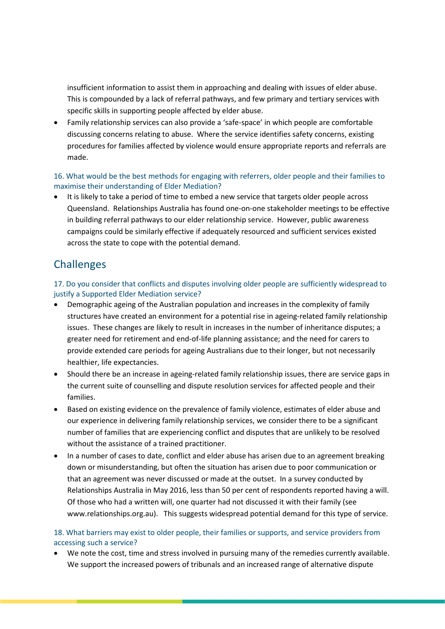insufficient information to assist them in approaching and dealing with issues of elder abuse. This is compounded by a lack of referral pathways, and few primary and tertiary services with specific skills in supporting people affected by elder abuse.

• Family relationship services can also provide a 'safe-space' in which people are comfortable discussing concerns relating to abuse. Where the service identifies safety concerns, existing procedures for families affected by violence would ensure appropriate reports and referrals are made.

#### 16. What would be the best methods for engaging with referrers, older people and their families to maximise their understanding of Elder Mediation?

• It is likely to take a period of time to embed a new service that targets older people across Queensland. Relationships Australia has found one-on-one stakeholder meetings to be effective in building referral pathways to our elder relationship service. However, public awareness campaigns could be similarly effective if adequately resourced and sufficient services existed across the state to cope with the potential demand.

# **Challenges**

17. Do you consider that conflicts and disputes involving older people are sufficiently widespread to justify a Supported Elder Mediation service?

- Demographic ageing of the Australian population and increases in the complexity of family structures have created an environment for a potential rise in ageing-related family relationship issues. These changes are likely to result in increases in the number of inheritance disputes; a greater need for retirement and end-of-life planning assistance; and the need for carers to provide extended care periods for ageing Australians due to their longer, but not necessarily healthier, life expectancies.
- Should there be an increase in ageing-related family relationship issues, there are service gaps in the current suite of counselling and dispute resolution services for affected people and their families.
- Based on existing evidence on the prevalence of family violence, estimates of elder abuse and our experience in delivering family relationship services, we consider there to be a significant number of families that are experiencing conflict and disputes that are unlikely to be resolved without the assistance of a trained practitioner.
- In a number of cases to date, conflict and elder abuse has arisen due to an agreement breaking down or misunderstanding, but often the situation has arisen due to poor communication or that an agreement was never discussed or made at the outset. In a survey conducted by Relationships Australia in May 2016, less than 50 per cent of respondents reported having a will. Of those who had a written will, one quarter had not discussed it with their family (see www.relationships.org.au). This suggests widespread potential demand for this type of service.

#### 18. What barriers may exist to older people, their families or supports, and service providers from accessing such a service?

• We note the cost, time and stress involved in pursuing many of the remedies currently available. We support the increased powers of tribunals and an increased range of alternative dispute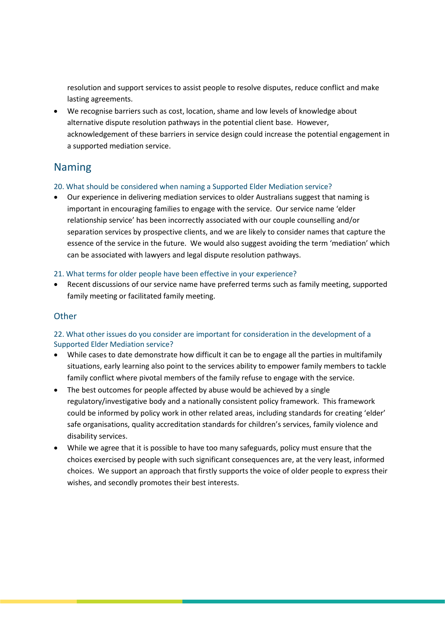resolution and support services to assist people to resolve disputes, reduce conflict and make lasting agreements.

• We recognise barriers such as cost, location, shame and low levels of knowledge about alternative dispute resolution pathways in the potential client base. However, acknowledgement of these barriers in service design could increase the potential engagement in a supported mediation service.

### Naming

#### 20. What should be considered when naming a Supported Elder Mediation service?

• Our experience in delivering mediation services to older Australians suggest that naming is important in encouraging families to engage with the service. Our service name 'elder relationship service' has been incorrectly associated with our couple counselling and/or separation services by prospective clients, and we are likely to consider names that capture the essence of the service in the future. We would also suggest avoiding the term 'mediation' which can be associated with lawyers and legal dispute resolution pathways.

#### 21. What terms for older people have been effective in your experience?

• Recent discussions of our service name have preferred terms such as family meeting, supported family meeting or facilitated family meeting.

### **Other**

#### 22. What other issues do you consider are important for consideration in the development of a Supported Elder Mediation service?

- While cases to date demonstrate how difficult it can be to engage all the parties in multifamily situations, early learning also point to the services ability to empower family members to tackle family conflict where pivotal members of the family refuse to engage with the service.
- The best outcomes for people affected by abuse would be achieved by a single regulatory/investigative body and a nationally consistent policy framework. This framework could be informed by policy work in other related areas, including standards for creating 'elder' safe organisations, quality accreditation standards for children's services, family violence and disability services.
- While we agree that it is possible to have too many safeguards, policy must ensure that the choices exercised by people with such significant consequences are, at the very least, informed choices. We support an approach that firstly supports the voice of older people to express their wishes, and secondly promotes their best interests.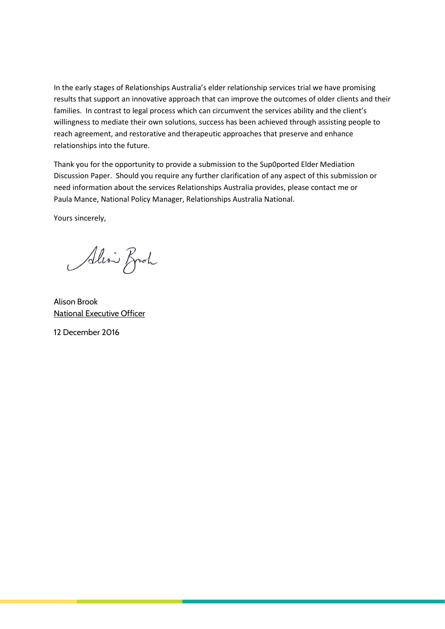In the early stages of Relationships Australia's elder relationship services trial we have promising results that support an innovative approach that can improve the outcomes of older clients and their families. In contrast to legal process which can circumvent the services ability and the client's willingness to mediate their own solutions, success has been achieved through assisting people to reach agreement, and restorative and therapeutic approaches that preserve and enhance relationships into the future.

Thank you for the opportunity to provide a submission to the Sup0ported Elder Mediation Discussion Paper. Should you require any further clarification of any aspect of this submission or need information about the services Relationships Australia provides, please contact me or Paula Mance, National Policy Manager, Relationships Australia National.

Yours sincerely,

Alin Broch

Alison Brook National Executive Officer

12 December 2016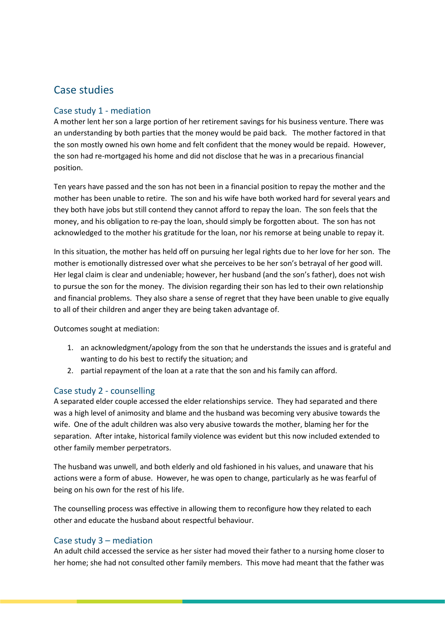## Case studies

### Case study 1 - mediation

A mother lent her son a large portion of her retirement savings for his business venture. There was an understanding by both parties that the money would be paid back. The mother factored in that the son mostly owned his own home and felt confident that the money would be repaid. However, the son had re-mortgaged his home and did not disclose that he was in a precarious financial position.

Ten years have passed and the son has not been in a financial position to repay the mother and the mother has been unable to retire. The son and his wife have both worked hard for several years and they both have jobs but still contend they cannot afford to repay the loan. The son feels that the money, and his obligation to re-pay the loan, should simply be forgotten about. The son has not acknowledged to the mother his gratitude for the loan, nor his remorse at being unable to repay it.

In this situation, the mother has held off on pursuing her legal rights due to her love for her son. The mother is emotionally distressed over what she perceives to be her son's betrayal of her good will. Her legal claim is clear and undeniable; however, her husband (and the son's father), does not wish to pursue the son for the money. The division regarding their son has led to their own relationship and financial problems. They also share a sense of regret that they have been unable to give equally to all of their children and anger they are being taken advantage of.

Outcomes sought at mediation:

- 1. an acknowledgment/apology from the son that he understands the issues and is grateful and wanting to do his best to rectify the situation; and
- 2. partial repayment of the loan at a rate that the son and his family can afford.

#### Case study 2 - counselling

A separated elder couple accessed the elder relationships service. They had separated and there was a high level of animosity and blame and the husband was becoming very abusive towards the wife. One of the adult children was also very abusive towards the mother, blaming her for the separation. After intake, historical family violence was evident but this now included extended to other family member perpetrators.

The husband was unwell, and both elderly and old fashioned in his values, and unaware that his actions were a form of abuse. However, he was open to change, particularly as he was fearful of being on his own for the rest of his life.

The counselling process was effective in allowing them to reconfigure how they related to each other and educate the husband about respectful behaviour.

#### Case study 3 – mediation

An adult child accessed the service as her sister had moved their father to a nursing home closer to her home; she had not consulted other family members. This move had meant that the father was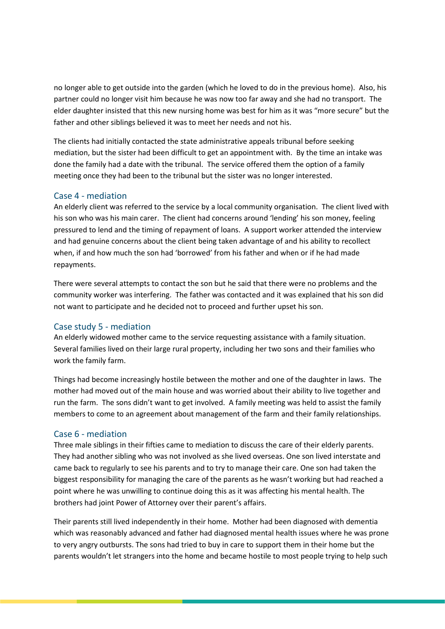no longer able to get outside into the garden (which he loved to do in the previous home). Also, his partner could no longer visit him because he was now too far away and she had no transport. The elder daughter insisted that this new nursing home was best for him as it was "more secure" but the father and other siblings believed it was to meet her needs and not his.

The clients had initially contacted the state administrative appeals tribunal before seeking mediation, but the sister had been difficult to get an appointment with. By the time an intake was done the family had a date with the tribunal. The service offered them the option of a family meeting once they had been to the tribunal but the sister was no longer interested.

#### Case 4 - mediation

An elderly client was referred to the service by a local community organisation. The client lived with his son who was his main carer. The client had concerns around 'lending' his son money, feeling pressured to lend and the timing of repayment of loans. A support worker attended the interview and had genuine concerns about the client being taken advantage of and his ability to recollect when, if and how much the son had 'borrowed' from his father and when or if he had made repayments.

There were several attempts to contact the son but he said that there were no problems and the community worker was interfering. The father was contacted and it was explained that his son did not want to participate and he decided not to proceed and further upset his son.

#### Case study 5 - mediation

An elderly widowed mother came to the service requesting assistance with a family situation. Several families lived on their large rural property, including her two sons and their families who work the family farm.

Things had become increasingly hostile between the mother and one of the daughter in laws. The mother had moved out of the main house and was worried about their ability to live together and run the farm. The sons didn't want to get involved. A family meeting was held to assist the family members to come to an agreement about management of the farm and their family relationships.

#### Case 6 - mediation

Three male siblings in their fifties came to mediation to discuss the care of their elderly parents. They had another sibling who was not involved as she lived overseas. One son lived interstate and came back to regularly to see his parents and to try to manage their care. One son had taken the biggest responsibility for managing the care of the parents as he wasn't working but had reached a point where he was unwilling to continue doing this as it was affecting his mental health. The brothers had joint Power of Attorney over their parent's affairs.

Their parents still lived independently in their home. Mother had been diagnosed with dementia which was reasonably advanced and father had diagnosed mental health issues where he was prone to very angry outbursts. The sons had tried to buy in care to support them in their home but the parents wouldn't let strangers into the home and became hostile to most people trying to help such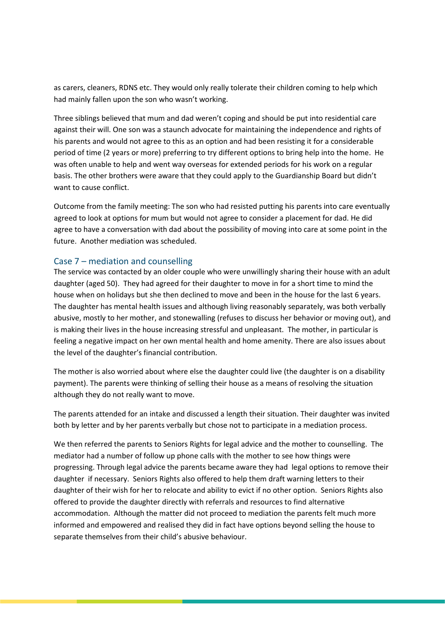as carers, cleaners, RDNS etc. They would only really tolerate their children coming to help which had mainly fallen upon the son who wasn't working.

Three siblings believed that mum and dad weren't coping and should be put into residential care against their will. One son was a staunch advocate for maintaining the independence and rights of his parents and would not agree to this as an option and had been resisting it for a considerable period of time (2 years or more) preferring to try different options to bring help into the home. He was often unable to help and went way overseas for extended periods for his work on a regular basis. The other brothers were aware that they could apply to the Guardianship Board but didn't want to cause conflict.

Outcome from the family meeting: The son who had resisted putting his parents into care eventually agreed to look at options for mum but would not agree to consider a placement for dad. He did agree to have a conversation with dad about the possibility of moving into care at some point in the future. Another mediation was scheduled.

#### Case 7 – mediation and counselling

The service was contacted by an older couple who were unwillingly sharing their house with an adult daughter (aged 50). They had agreed for their daughter to move in for a short time to mind the house when on holidays but she then declined to move and been in the house for the last 6 years. The daughter has mental health issues and although living reasonably separately, was both verbally abusive, mostly to her mother, and stonewalling (refuses to discuss her behavior or moving out), and is making their lives in the house increasing stressful and unpleasant. The mother, in particular is feeling a negative impact on her own mental health and home amenity. There are also issues about the level of the daughter's financial contribution.

The mother is also worried about where else the daughter could live (the daughter is on a disability payment). The parents were thinking of selling their house as a means of resolving the situation although they do not really want to move.

The parents attended for an intake and discussed a length their situation. Their daughter was invited both by letter and by her parents verbally but chose not to participate in a mediation process.

We then referred the parents to Seniors Rights for legal advice and the mother to counselling. The mediator had a number of follow up phone calls with the mother to see how things were progressing. Through legal advice the parents became aware they had legal options to remove their daughter if necessary. Seniors Rights also offered to help them draft warning letters to their daughter of their wish for her to relocate and ability to evict if no other option. Seniors Rights also offered to provide the daughter directly with referrals and resources to find alternative accommodation. Although the matter did not proceed to mediation the parents felt much more informed and empowered and realised they did in fact have options beyond selling the house to separate themselves from their child's abusive behaviour.